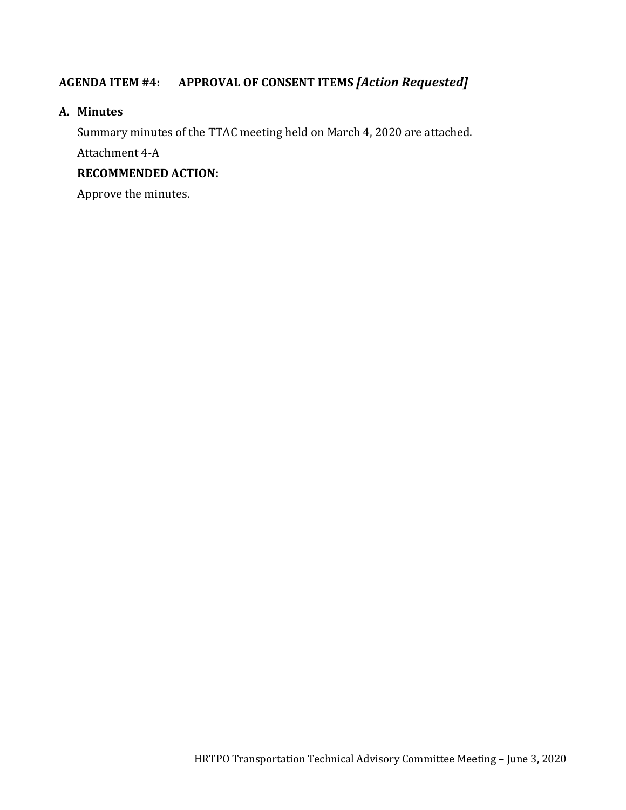## **AGENDA ITEM #4: APPROVAL OF CONSENT ITEMS** *[Action Requested]*

#### **A. Minutes**

Summary minutes of the TTAC meeting held on March 4, 2020 are attached. Attachment 4-A

### **RECOMMENDED ACTION:**

Approve the minutes.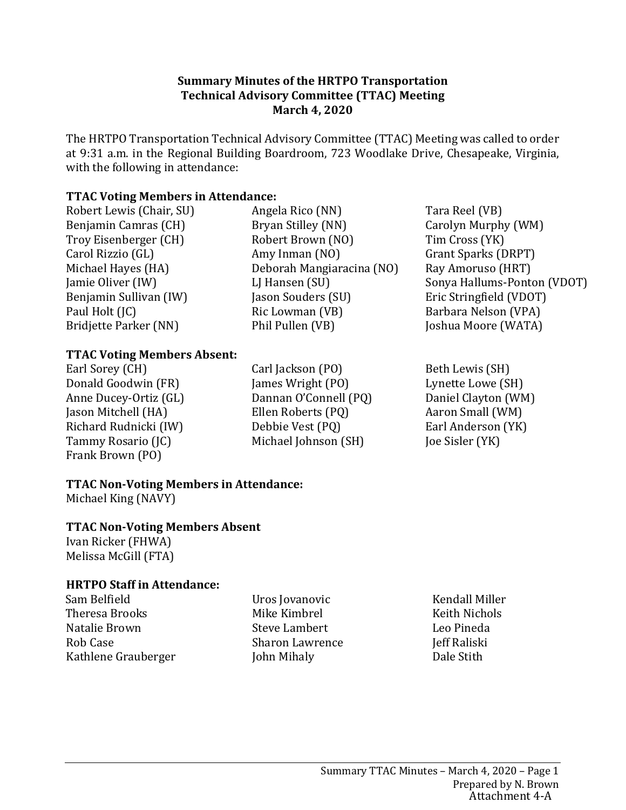### **Summary Minutes of the HRTPO Transportation Technical Advisory Committee (TTAC) Meeting March 4, 2020**

The HRTPO Transportation Technical Advisory Committee (TTAC) Meeting was called to order at 9:31 a.m. in the Regional Building Boardroom, 723 Woodlake Drive, Chesapeake, Virginia, with the following in attendance:

## **TTAC Voting Members in Attendance:**

Robert Lewis (Chair, SU) Benjamin Camras (CH) Troy Eisenberger (CH) Carol Rizzio (GL) Michael Hayes (HA) Jamie Oliver (IW) Benjamin Sullivan (IW) Paul Holt (JC) Bridjette Parker (NN)

Angela Rico (NN) Bryan Stilley (NN) Robert Brown (NO) Amy Inman (NO) Deborah Mangiaracina (NO) LJ Hansen (SU) Jason Souders (SU) Ric Lowman (VB) Phil Pullen (VB)

Tara Reel (VB) Carolyn Murphy (WM) Tim Cross (YK) Grant Sparks (DRPT) Ray Amoruso (HRT) Sonya Hallums-Ponton (VDOT) Eric Stringfield (VDOT) Barbara Nelson (VPA) Joshua Moore (WATA)

### **TTAC Voting Members Absent:**

Earl Sorey (CH) Donald Goodwin (FR) Anne Ducey-Ortiz (GL) Jason Mitchell (HA) Richard Rudnicki (IW) Tammy Rosario (JC) Frank Brown (PO)

Carl Jackson (PO) James Wright (PO) Dannan O'Connell (PQ) Ellen Roberts (PQ) Debbie Vest (PQ) Michael Johnson (SH)

Beth Lewis (SH) Lynette Lowe (SH) Daniel Clayton (WM) Aaron Small (WM) Earl Anderson (YK) Joe Sisler (YK)

# **TTAC Non-Voting Members in Attendance:**

Michael King (NAVY)

## **TTAC Non-Voting Members Absent**

Ivan Ricker (FHWA) Melissa McGill (FTA)

## **HRTPO Staff in Attendance:**

Sam Belfield Theresa Brooks Natalie Brown Rob Case Kathlene Grauberger Uros Jovanovic Mike Kimbrel Steve Lambert Sharon Lawrence John Mihaly

Kendall Miller Keith Nichols Leo Pineda Jeff Raliski Dale Stith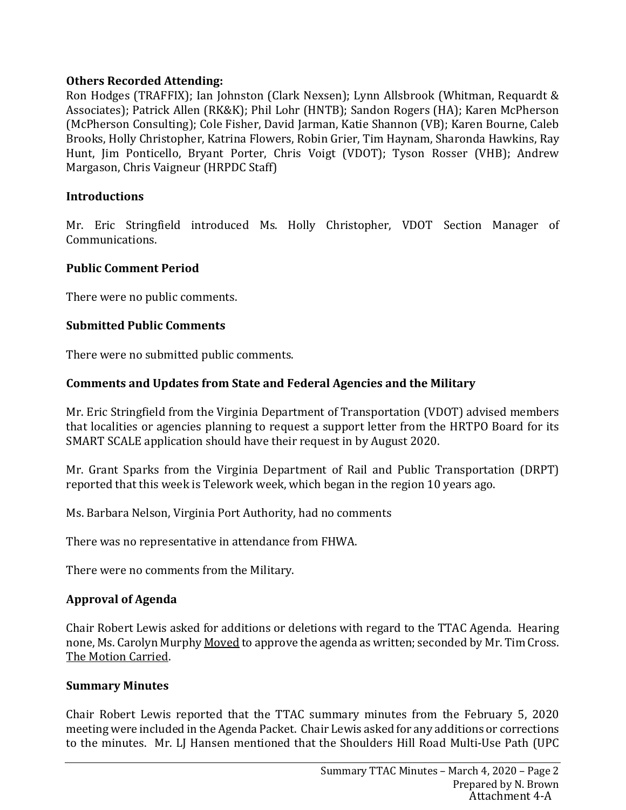## **Others Recorded Attending:**

Ron Hodges (TRAFFIX); Ian Johnston (Clark Nexsen); Lynn Allsbrook (Whitman, Requardt & Associates); Patrick Allen (RK&K); Phil Lohr (HNTB); Sandon Rogers (HA); Karen McPherson (McPherson Consulting); Cole Fisher, David Jarman, Katie Shannon (VB); Karen Bourne, Caleb Brooks, Holly Christopher, Katrina Flowers, Robin Grier, Tim Haynam, Sharonda Hawkins, Ray Hunt, Jim Ponticello, Bryant Porter, Chris Voigt (VDOT); Tyson Rosser (VHB); Andrew Margason, Chris Vaigneur (HRPDC Staff)

### **Introductions**

Mr. Eric Stringfield introduced Ms. Holly Christopher, VDOT Section Manager of Communications.

### **Public Comment Period**

There were no public comments.

### **Submitted Public Comments**

There were no submitted public comments.

## **Comments and Updates from State and Federal Agencies and the Military**

Mr. Eric Stringfield from the Virginia Department of Transportation (VDOT) advised members that localities or agencies planning to request a support letter from the HRTPO Board for its SMART SCALE application should have their request in by August 2020.

Mr. Grant Sparks from the Virginia Department of Rail and Public Transportation (DRPT) reported that this week is Telework week, which began in the region 10 years ago.

Ms. Barbara Nelson, Virginia Port Authority, had no comments

There was no representative in attendance from FHWA.

There were no comments from the Military.

## **Approval of Agenda**

Chair Robert Lewis asked for additions or deletions with regard to the TTAC Agenda. Hearing none, Ms. Carolyn Murphy Moved to approve the agenda as written; seconded by Mr. Tim Cross. The Motion Carried.

#### **Summary Minutes**

Chair Robert Lewis reported that the TTAC summary minutes from the February 5, 2020 meeting were included in the Agenda Packet. Chair Lewis asked for any additions or corrections to the minutes. Mr. LJ Hansen mentioned that the Shoulders Hill Road Multi-Use Path (UPC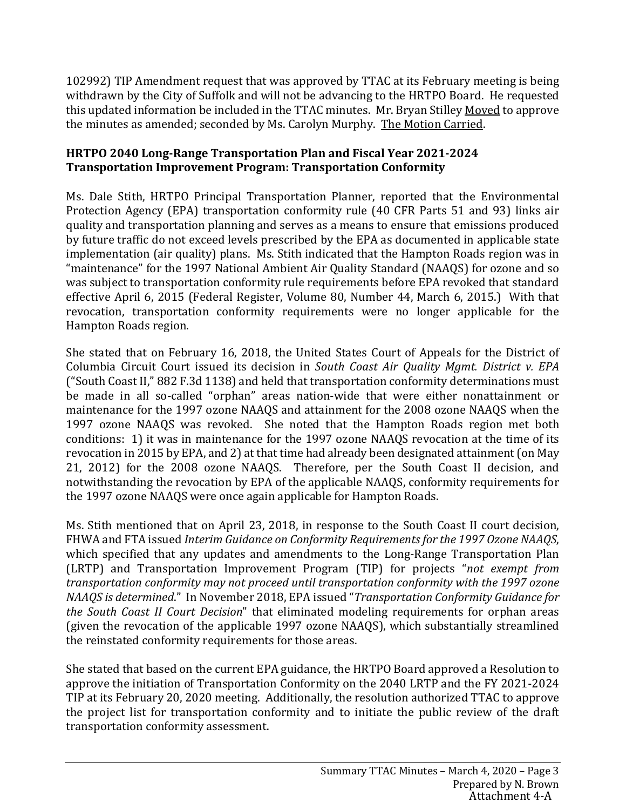102992) TIP Amendment request that was approved by TTAC at its February meeting is being withdrawn by the City of Suffolk and will not be advancing to the HRTPO Board. He requested this updated information be included in the TTAC minutes. Mr. Bryan Stilley Moved to approve the minutes as amended; seconded by Ms. Carolyn Murphy. The Motion Carried.

## **HRTPO 2040 Long-Range Transportation Plan and Fiscal Year 2021-2024 Transportation Improvement Program: Transportation Conformity**

Ms. Dale Stith, HRTPO Principal Transportation Planner, reported that the Environmental Protection Agency (EPA) transportation conformity rule (40 CFR Parts 51 and 93) links air quality and transportation planning and serves as a means to ensure that emissions produced by future traffic do not exceed levels prescribed by the EPA as documented in applicable state implementation (air quality) plans. Ms. Stith indicated that the Hampton Roads region was in "maintenance" for the 1997 National Ambient Air Quality Standard (NAAQS) for ozone and so was subject to transportation conformity rule requirements before EPA revoked that standard effective April 6, 2015 (Federal Register, Volume 80, Number 44, March 6, 2015.) With that revocation, transportation conformity requirements were no longer applicable for the Hampton Roads region.

She stated that on February 16, 2018, the United States Court of Appeals for the District of Columbia Circuit Court issued its decision in *South Coast Air Quality Mgmt. District v. EPA* ("South Coast II," 882 F.3d 1138) and held that transportation conformity determinations must be made in all so-called "orphan" areas nation-wide that were either nonattainment or maintenance for the 1997 ozone NAAQS and attainment for the 2008 ozone NAAQS when the 1997 ozone NAAQS was revoked. She noted that the Hampton Roads region met both conditions: 1) it was in maintenance for the 1997 ozone NAAQS revocation at the time of its revocation in 2015 by EPA, and 2) at that time had already been designated attainment (on May 21, 2012) for the 2008 ozone NAAQS. Therefore, per the South Coast II decision, and notwithstanding the revocation by EPA of the applicable NAAQS, conformity requirements for the 1997 ozone NAAQS were once again applicable for Hampton Roads.

Ms. Stith mentioned that on April 23, 2018, in response to the South Coast II court decision, FHWA and FTA issued *Interim Guidance on Conformity Requirements for the 1997 Ozone NAAQS*, which specified that any updates and amendments to the Long-Range Transportation Plan (LRTP) and Transportation Improvement Program (TIP) for projects "*not exempt from transportation conformity may not proceed until transportation conformity with the 1997 ozone NAAQS is determined*." In November 2018, EPA issued "*Transportation Conformity Guidance for the South Coast II Court Decision*" that eliminated modeling requirements for orphan areas (given the revocation of the applicable 1997 ozone NAAQS), which substantially streamlined the reinstated conformity requirements for those areas.

She stated that based on the current EPA guidance, the HRTPO Board approved a Resolution to approve the initiation of Transportation Conformity on the 2040 LRTP and the FY 2021-2024 TIP at its February 20, 2020 meeting. Additionally, the resolution authorized TTAC to approve the project list for transportation conformity and to initiate the public review of the draft transportation conformity assessment.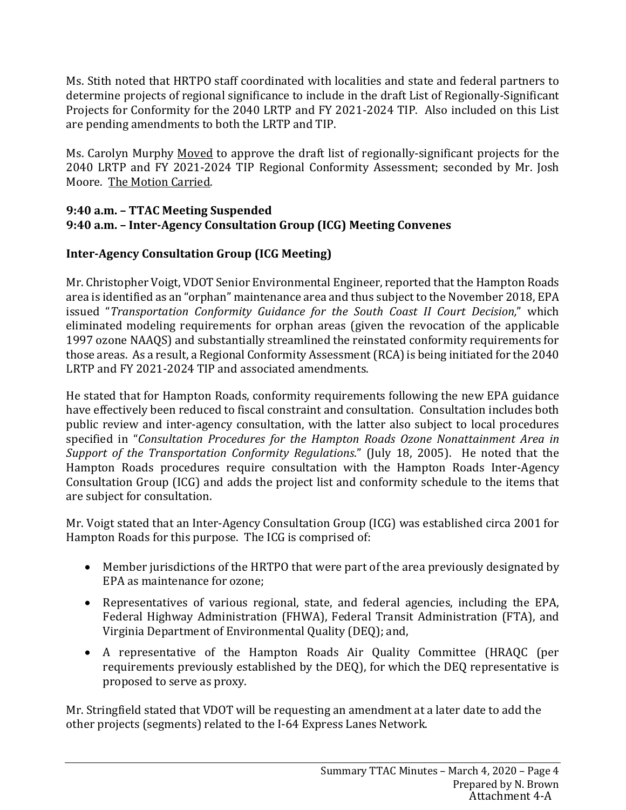Ms. Stith noted that HRTPO staff coordinated with localities and state and federal partners to determine projects of regional significance to include in the draft List of Regionally-Significant Projects for Conformity for the 2040 LRTP and FY 2021-2024 TIP. Also included on this List are pending amendments to both the LRTP and TIP.

Ms. Carolyn Murphy Moved to approve the draft list of regionally-significant projects for the 2040 LRTP and FY 2021-2024 TIP Regional Conformity Assessment; seconded by Mr. Josh Moore. The Motion Carried.

## **9:40 a.m. – TTAC Meeting Suspended 9:40 a.m. – Inter-Agency Consultation Group (ICG) Meeting Convenes**

# **Inter-Agency Consultation Group (ICG Meeting)**

Mr. Christopher Voigt, VDOT Senior Environmental Engineer, reported that the Hampton Roads area is identified as an "orphan" maintenance area and thus subject to the November 2018, EPA issued "*Transportation Conformity Guidance for the South Coast II Court Decision,*" which eliminated modeling requirements for orphan areas (given the revocation of the applicable 1997 ozone NAAQS) and substantially streamlined the reinstated conformity requirements for those areas. As a result, a Regional Conformity Assessment (RCA) is being initiated for the 2040 LRTP and FY 2021-2024 TIP and associated amendments.

He stated that for Hampton Roads, conformity requirements following the new EPA guidance have effectively been reduced to fiscal constraint and consultation. Consultation includes both public review and inter-agency consultation, with the latter also subject to local procedures specified in "*Consultation Procedures for the Hampton Roads Ozone Nonattainment Area in Support of the Transportation Conformity Regulations*." (July 18, 2005). He noted that the Hampton Roads procedures require consultation with the Hampton Roads Inter-Agency Consultation Group (ICG) and adds the project list and conformity schedule to the items that are subject for consultation.

Mr. Voigt stated that an Inter-Agency Consultation Group (ICG) was established circa 2001 for Hampton Roads for this purpose. The ICG is comprised of:

- Member jurisdictions of the HRTPO that were part of the area previously designated by EPA as maintenance for ozone;
- Representatives of various regional, state, and federal agencies, including the EPA, Federal Highway Administration (FHWA), Federal Transit Administration (FTA), and Virginia Department of Environmental Quality (DEQ); and,
- A representative of the Hampton Roads Air Quality Committee (HRAQC (per requirements previously established by the DEQ), for which the DEQ representative is proposed to serve as proxy.

Mr. Stringfield stated that VDOT will be requesting an amendment at a later date to add the other projects (segments) related to the I-64 Express Lanes Network.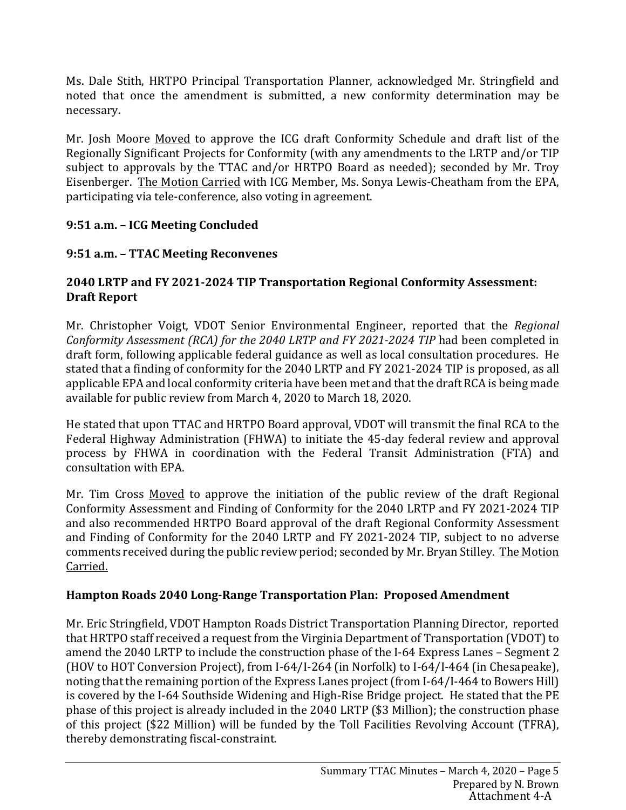Ms. Dale Stith, HRTPO Principal Transportation Planner, acknowledged Mr. Stringfield and noted that once the amendment is submitted, a new conformity determination may be necessary.

Mr. Josh Moore Moved to approve the ICG draft Conformity Schedule and draft list of the Regionally Significant Projects for Conformity (with any amendments to the LRTP and/or TIP subject to approvals by the TTAC and/or HRTPO Board as needed); seconded by Mr. Troy Eisenberger. The Motion Carried with ICG Member, Ms. Sonya Lewis-Cheatham from the EPA, participating via tele-conference, also voting in agreement.

# **9:51 a.m. – ICG Meeting Concluded**

# **9:51 a.m. – TTAC Meeting Reconvenes**

# **2040 LRTP and FY 2021-2024 TIP Transportation Regional Conformity Assessment: Draft Report**

Mr. Christopher Voigt, VDOT Senior Environmental Engineer, reported that the *Regional Conformity Assessment (RCA) for the 2040 LRTP and FY 2021-2024 TIP* had been completed in draft form, following applicable federal guidance as well as local consultation procedures. He stated that a finding of conformity for the 2040 LRTP and FY 2021-2024 TIP is proposed, as all applicable EPA and local conformity criteria have been met and that the draft RCA is being made available for public review from March 4, 2020 to March 18, 2020.

He stated that upon TTAC and HRTPO Board approval, VDOT will transmit the final RCA to the Federal Highway Administration (FHWA) to initiate the 45-day federal review and approval process by FHWA in coordination with the Federal Transit Administration (FTA) and consultation with EPA.

Mr. Tim Cross Moved to approve the initiation of the public review of the draft Regional Conformity Assessment and Finding of Conformity for the 2040 LRTP and FY 2021-2024 TIP and also recommended HRTPO Board approval of the draft Regional Conformity Assessment and Finding of Conformity for the 2040 LRTP and FY 2021-2024 TIP, subject to no adverse comments received during the public review period; seconded by Mr. Bryan Stilley. The Motion Carried.

# **Hampton Roads 2040 Long-Range Transportation Plan: Proposed Amendment**

Mr. Eric Stringfield, VDOT Hampton Roads District Transportation Planning Director, reported that HRTPO staff received a request from the Virginia Department of Transportation (VDOT) to amend the 2040 LRTP to include the construction phase of the I-64 Express Lanes – Segment 2 (HOV to HOT Conversion Project), from I-64/I-264 (in Norfolk) to I-64/I-464 (in Chesapeake), noting that the remaining portion of the Express Lanes project (from I-64/I-464 to Bowers Hill) is covered by the I-64 Southside Widening and High-Rise Bridge project. He stated that the PE phase of this project is already included in the 2040 LRTP (\$3 Million); the construction phase of this project (\$22 Million) will be funded by the Toll Facilities Revolving Account (TFRA), thereby demonstrating fiscal-constraint.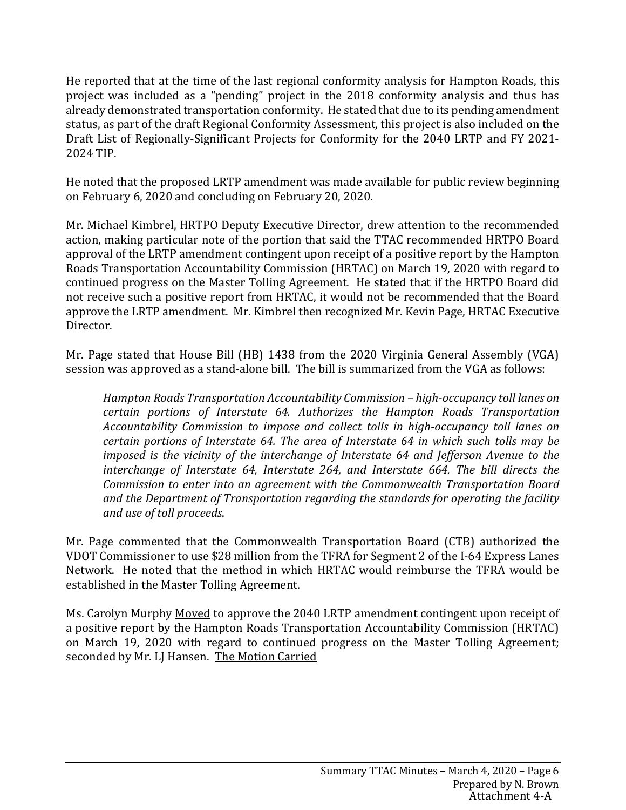He reported that at the time of the last regional conformity analysis for Hampton Roads, this project was included as a "pending" project in the 2018 conformity analysis and thus has already demonstrated transportation conformity. He stated that due to its pending amendment status, as part of the draft Regional Conformity Assessment, this project is also included on the Draft List of Regionally-Significant Projects for Conformity for the 2040 LRTP and FY 2021- 2024 TIP.

He noted that the proposed LRTP amendment was made available for public review beginning on February 6, 2020 and concluding on February 20, 2020.

Mr. Michael Kimbrel, HRTPO Deputy Executive Director, drew attention to the recommended action, making particular note of the portion that said the TTAC recommended HRTPO Board approval of the LRTP amendment contingent upon receipt of a positive report by the Hampton Roads Transportation Accountability Commission (HRTAC) on March 19, 2020 with regard to continued progress on the Master Tolling Agreement. He stated that if the HRTPO Board did not receive such a positive report from HRTAC, it would not be recommended that the Board approve the LRTP amendment. Mr. Kimbrel then recognized Mr. Kevin Page, HRTAC Executive Director.

Mr. Page stated that House Bill (HB) 1438 from the 2020 Virginia General Assembly (VGA) session was approved as a stand-alone bill. The bill is summarized from the VGA as follows:

*Hampton Roads Transportation Accountability Commission – high-occupancy toll lanes on certain portions of Interstate 64. Authorizes the Hampton Roads Transportation Accountability Commission to impose and collect tolls in high-occupancy toll lanes on certain portions of Interstate 64. The area of Interstate 64 in which such tolls may be imposed is the vicinity of the interchange of Interstate 64 and Jefferson Avenue to the interchange of Interstate 64, Interstate 264, and Interstate 664. The bill directs the Commission to enter into an agreement with the Commonwealth Transportation Board and the Department of Transportation regarding the standards for operating the facility and use of toll proceeds*.

Mr. Page commented that the Commonwealth Transportation Board (CTB) authorized the VDOT Commissioner to use \$28 million from the TFRA for Segment 2 of the I-64 Express Lanes Network. He noted that the method in which HRTAC would reimburse the TFRA would be established in the Master Tolling Agreement.

Ms. Carolyn Murphy Moved to approve the 2040 LRTP amendment contingent upon receipt of a positive report by the Hampton Roads Transportation Accountability Commission (HRTAC) on March 19, 2020 with regard to continued progress on the Master Tolling Agreement; seconded by Mr. LJ Hansen. The Motion Carried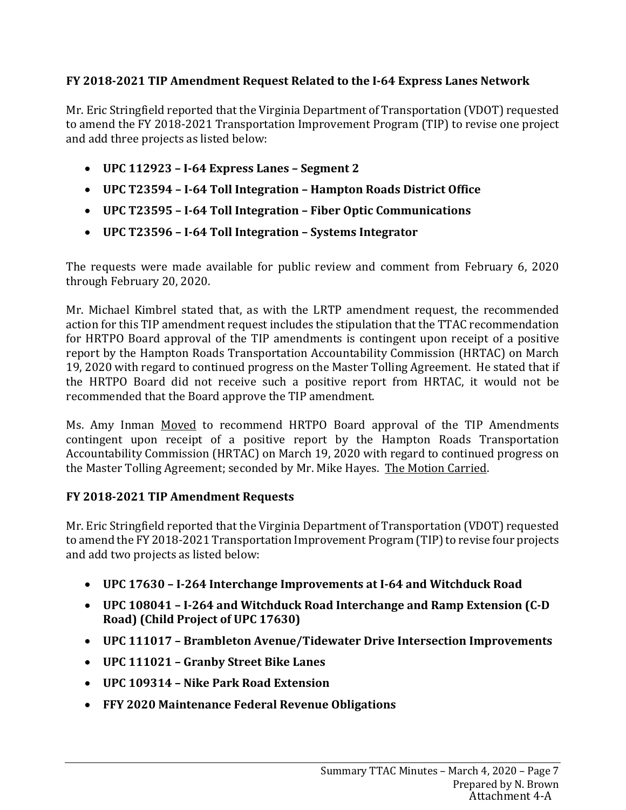## **FY 2018-2021 TIP Amendment Request Related to the I-64 Express Lanes Network**

Mr. Eric Stringfield reported that the Virginia Department of Transportation (VDOT) requested to amend the FY 2018-2021 Transportation Improvement Program (TIP) to revise one project and add three projects as listed below:

- **UPC 112923 I-64 Express Lanes Segment 2**
- **UPC T23594 I-64 Toll Integration Hampton Roads District Office**
- **UPC T23595 I-64 Toll Integration Fiber Optic Communications**
- **UPC T23596 I-64 Toll Integration Systems Integrator**

The requests were made available for public review and comment from February 6, 2020 through February 20, 2020.

Mr. Michael Kimbrel stated that, as with the LRTP amendment request, the recommended action for this TIP amendment request includes the stipulation that the TTAC recommendation for HRTPO Board approval of the TIP amendments is contingent upon receipt of a positive report by the Hampton Roads Transportation Accountability Commission (HRTAC) on March 19, 2020 with regard to continued progress on the Master Tolling Agreement. He stated that if the HRTPO Board did not receive such a positive report from HRTAC, it would not be recommended that the Board approve the TIP amendment.

Ms. Amy Inman Moved to recommend HRTPO Board approval of the TIP Amendments contingent upon receipt of a positive report by the Hampton Roads Transportation Accountability Commission (HRTAC) on March 19, 2020 with regard to continued progress on the Master Tolling Agreement; seconded by Mr. Mike Hayes. The Motion Carried.

## **FY 2018-2021 TIP Amendment Requests**

Mr. Eric Stringfield reported that the Virginia Department of Transportation (VDOT) requested to amend the FY 2018-2021 Transportation Improvement Program (TIP) to revise four projects and add two projects as listed below:

- **UPC 17630 I-264 Interchange Improvements at I-64 and Witchduck Road**
- **UPC 108041 I-264 and Witchduck Road Interchange and Ramp Extension (C-D Road) (Child Project of UPC 17630)**
- **UPC 111017 Brambleton Avenue/Tidewater Drive Intersection Improvements**
- **UPC 111021 Granby Street Bike Lanes**
- **UPC 109314 Nike Park Road Extension**
- **FFY 2020 Maintenance Federal Revenue Obligations**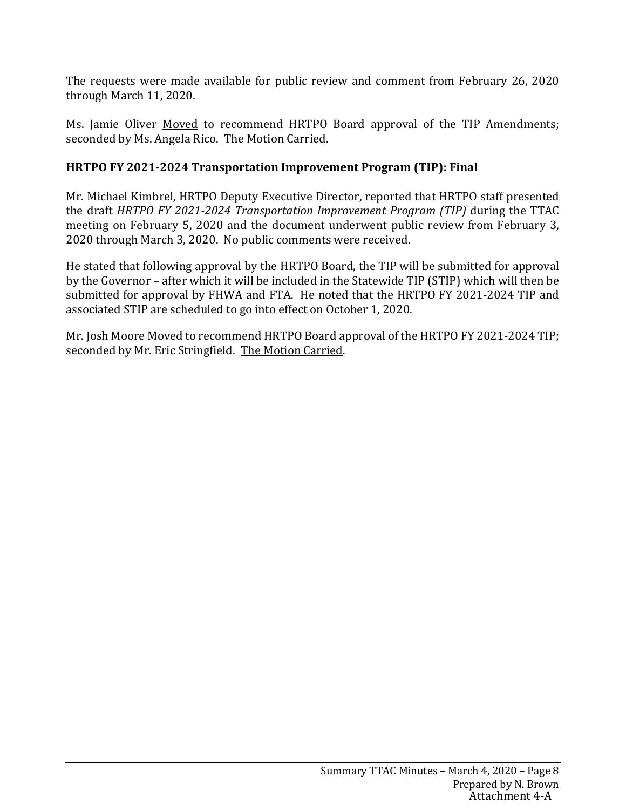The requests were made available for public review and comment from February 26, 2020 through March 11, 2020.

Ms. Jamie Oliver Moved to recommend HRTPO Board approval of the TIP Amendments; seconded by Ms. Angela Rico. The Motion Carried.

## **HRTPO FY 2021-2024 Transportation Improvement Program (TIP): Final**

Mr. Michael Kimbrel, HRTPO Deputy Executive Director, reported that HRTPO staff presented the draft *HRTPO FY 2021-2024 Transportation Improvement Program (TIP)* during the TTAC meeting on February 5, 2020 and the document underwent public review from February 3, 2020 through March 3, 2020. No public comments were received.

He stated that following approval by the HRTPO Board, the TIP will be submitted for approval by the Governor – after which it will be included in the Statewide TIP (STIP) which will then be submitted for approval by FHWA and FTA. He noted that the HRTPO FY 2021-2024 TIP and associated STIP are scheduled to go into effect on October 1, 2020.

Mr. Josh Moore Moved to recommend HRTPO Board approval of the HRTPO FY 2021-2024 TIP; seconded by Mr. Eric Stringfield. The Motion Carried.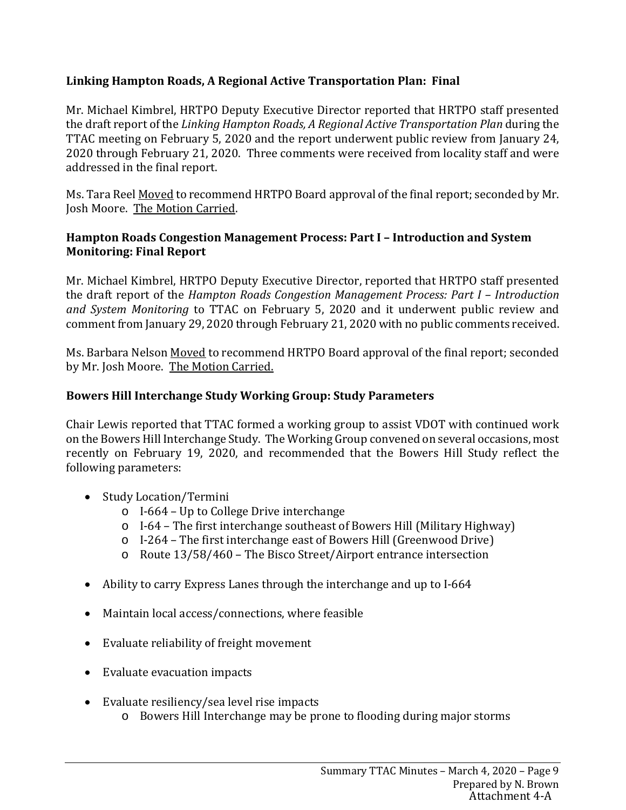## **Linking Hampton Roads, A Regional Active Transportation Plan: Final**

Mr. Michael Kimbrel, HRTPO Deputy Executive Director reported that HRTPO staff presented the draft report of the *Linking Hampton Roads, A Regional Active Transportation Plan* during the TTAC meeting on February 5, 2020 and the report underwent public review from January 24, 2020 through February 21, 2020. Three comments were received from locality staff and were addressed in the final report.

Ms. Tara Reel <u>Moved</u> to recommend HRTPO Board approval of the final report; seconded by Mr. Josh Moore. The Motion Carried.

## **Hampton Roads Congestion Management Process: Part I – Introduction and System Monitoring: Final Report**

Mr. Michael Kimbrel, HRTPO Deputy Executive Director, reported that HRTPO staff presented the draft report of the *Hampton Roads Congestion Management Process: Part I – Introduction and System Monitoring* to TTAC on February 5, 2020 and it underwent public review and comment from January 29, 2020 through February 21, 2020 with no public comments received.

Ms. Barbara Nelson Moved to recommend HRTPO Board approval of the final report; seconded by Mr. Josh Moore. The Motion Carried.

## **Bowers Hill Interchange Study Working Group: Study Parameters**

Chair Lewis reported that TTAC formed a working group to assist VDOT with continued work on the Bowers Hill Interchange Study. The Working Group convened on several occasions, most recently on February 19, 2020, and recommended that the Bowers Hill Study reflect the following parameters:

- Study Location/Termini
	- o I-664 Up to College Drive interchange
	- o I-64 The first interchange southeast of Bowers Hill (Military Highway)
	- o I-264 The first interchange east of Bowers Hill (Greenwood Drive)
	- o Route 13/58/460 The Bisco Street/Airport entrance intersection
- Ability to carry Express Lanes through the interchange and up to I-664
- Maintain local access/connections, where feasible
- Evaluate reliability of freight movement
- Evaluate evacuation impacts
- Evaluate resiliency/sea level rise impacts
	- o Bowers Hill Interchange may be prone to flooding during major storms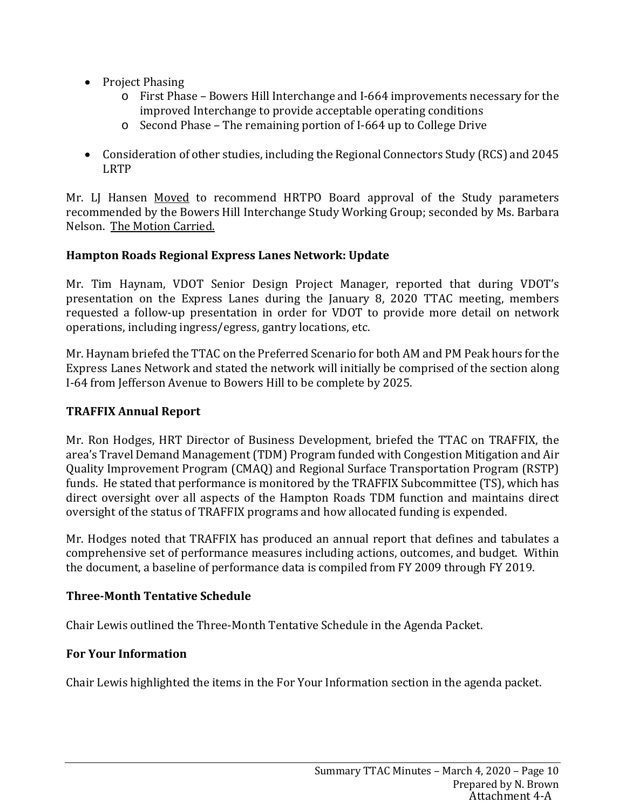- Project Phasing
	- o First Phase Bowers Hill Interchange and I-664 improvements necessary for the improved Interchange to provide acceptable operating conditions
	- o Second Phase The remaining portion of I-664 up to College Drive
- Consideration of other studies, including the Regional Connectors Study (RCS) and 2045 LRTP

Mr. LJ Hansen Moved to recommend HRTPO Board approval of the Study parameters recommended by the Bowers Hill Interchange Study Working Group; seconded by Ms. Barbara Nelson. The Motion Carried.

## **Hampton Roads Regional Express Lanes Network: Update**

Mr. Tim Haynam, VDOT Senior Design Project Manager, reported that during VDOT's presentation on the Express Lanes during the January 8, 2020 TTAC meeting, members requested a follow-up presentation in order for VDOT to provide more detail on network operations, including ingress/egress, gantry locations, etc.

Mr. Haynam briefed the TTAC on the Preferred Scenario for both AM and PM Peak hours for the Express Lanes Network and stated the network will initially be comprised of the section along I-64 from Jefferson Avenue to Bowers Hill to be complete by 2025.

## **TRAFFIX Annual Report**

Mr. Ron Hodges, HRT Director of Business Development, briefed the TTAC on TRAFFIX, the area's Travel Demand Management (TDM) Program funded with Congestion Mitigation and Air Quality Improvement Program (CMAQ) and Regional Surface Transportation Program (RSTP) funds. He stated that performance is monitored by the TRAFFIX Subcommittee (TS), which has direct oversight over all aspects of the Hampton Roads TDM function and maintains direct oversight of the status of TRAFFIX programs and how allocated funding is expended.

Mr. Hodges noted that TRAFFIX has produced an annual report that defines and tabulates a comprehensive set of performance measures including actions, outcomes, and budget. Within the document, a baseline of performance data is compiled from FY 2009 through FY 2019.

## **Three-Month Tentative Schedule**

Chair Lewis outlined the Three-Month Tentative Schedule in the Agenda Packet.

## **For Your Information**

Chair Lewis highlighted the items in the For Your Information section in the agenda packet.